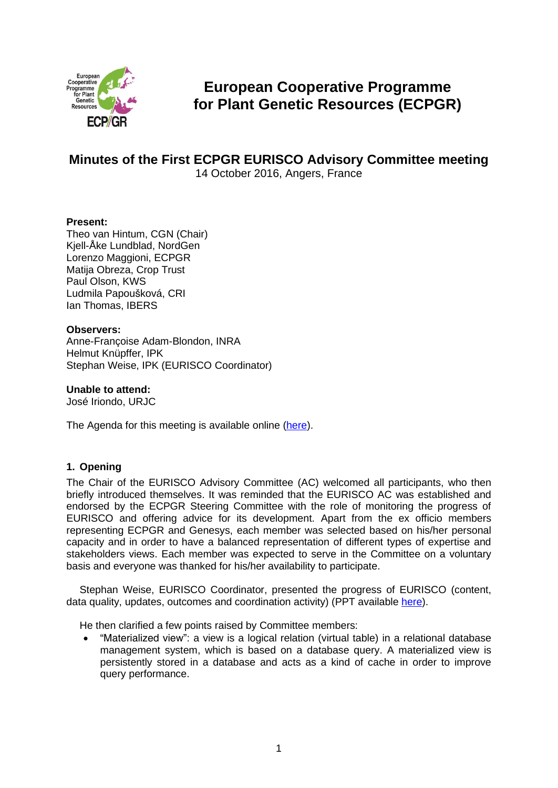

# **European Cooperative Programme for Plant Genetic Resources (ECPGR)**

## **Minutes of the First ECPGR EURISCO Advisory Committee meeting** 14 October 2016, Angers, France

## **Present:**

Theo van Hintum, CGN (Chair) Kjell-Åke Lundblad, NordGen Lorenzo Maggioni, ECPGR Matija Obreza, Crop Trust Paul Olson, KWS Ludmila Papoušková, CRI Ian Thomas, IBERS

## **Observers:**

Anne-Françoise Adam-Blondon, INRA Helmut Knüpffer, IPK Stephan Weise, IPK (EURISCO Coordinator)

**Unable to attend:** José Iriondo, URJC

The Agenda for this meeting is available online [\(here\)](http://www.ecpgr.cgiar.org/about-ecpgr/eurisco-advisory-committee/).

## **1. Opening**

The Chair of the EURISCO Advisory Committee (AC) welcomed all participants, who then briefly introduced themselves. It was reminded that the EURISCO AC was established and endorsed by the ECPGR Steering Committee with the role of monitoring the progress of EURISCO and offering advice for its development. Apart from the ex officio members representing ECPGR and Genesys, each member was selected based on his/her personal capacity and in order to have a balanced representation of different types of expertise and stakeholders views. Each member was expected to serve in the Committee on a voluntary basis and everyone was thanked for his/her availability to participate.

Stephan Weise, EURISCO Coordinator, presented the progress of EURISCO (content, data quality, updates, outcomes and coordination activity) (PPT available [here\)](http://www.ecpgr.cgiar.org/about-ecpgr/eurisco-advisory-committee/).

He then clarified a few points raised by Committee members:

 "Materialized view": a view is a logical relation (virtual table) in a relational database management system, which is based on a database query. A materialized view is persistently stored in a database and acts as a kind of cache in order to improve query performance.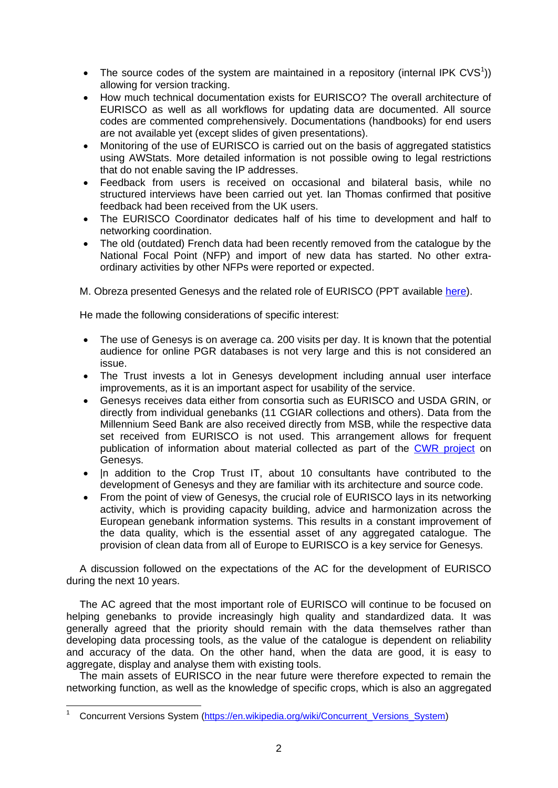- The source codes of the system are maintained in a repository (internal IPK CVS<sup>1</sup>)) allowing for version tracking.
- How much technical documentation exists for EURISCO? The overall architecture of EURISCO as well as all workflows for updating data are documented. All source codes are commented comprehensively. Documentations (handbooks) for end users are not available yet (except slides of given presentations).
- Monitoring of the use of EURISCO is carried out on the basis of aggregated statistics using AWStats. More detailed information is not possible owing to legal restrictions that do not enable saving the IP addresses.
- Feedback from users is received on occasional and bilateral basis, while no structured interviews have been carried out yet. Ian Thomas confirmed that positive feedback had been received from the UK users.
- The EURISCO Coordinator dedicates half of his time to development and half to networking coordination.
- The old (outdated) French data had been recently removed from the catalogue by the National Focal Point (NFP) and import of new data has started. No other extraordinary activities by other NFPs were reported or expected.

M. Obreza presented Genesys and the related role of EURISCO (PPT available [here\)](http://www.ecpgr.cgiar.org/about-ecpgr/eurisco-advisory-committee/).

He made the following considerations of specific interest:

- The use of Genesys is on average ca. 200 visits per day. It is known that the potential audience for online PGR databases is not very large and this is not considered an issue.
- The Trust invests a lot in Genesys development including annual user interface improvements, as it is an important aspect for usability of the service.
- Genesys receives data either from consortia such as EURISCO and USDA GRIN, or directly from individual genebanks (11 CGIAR collections and others). Data from the Millennium Seed Bank are also received directly from MSB, while the respective data set received from EURISCO is not used. This arrangement allows for frequent publication of information about material collected as part of the [CWR project](https://www.genesys-pgr.org/project/CWR) on Genesys.
- In addition to the Crop Trust IT, about 10 consultants have contributed to the development of Genesys and they are familiar with its architecture and source code.
- From the point of view of Genesys, the crucial role of EURISCO lays in its networking activity, which is providing capacity building, advice and harmonization across the European genebank information systems. This results in a constant improvement of the data quality, which is the essential asset of any aggregated catalogue. The provision of clean data from all of Europe to EURISCO is a key service for Genesys.

A discussion followed on the expectations of the AC for the development of EURISCO during the next 10 years.

The AC agreed that the most important role of EURISCO will continue to be focused on helping genebanks to provide increasingly high quality and standardized data. It was generally agreed that the priority should remain with the data themselves rather than developing data processing tools, as the value of the catalogue is dependent on reliability and accuracy of the data. On the other hand, when the data are good, it is easy to aggregate, display and analyse them with existing tools.

The main assets of EURISCO in the near future were therefore expected to remain the networking function, as well as the knowledge of specific crops, which is also an aggregated

 <sup>1</sup> Concurrent Versions System [\(https://en.wikipedia.org/wiki/Concurrent\\_Versions\\_System\)](https://en.wikipedia.org/wiki/Concurrent_Versions_System)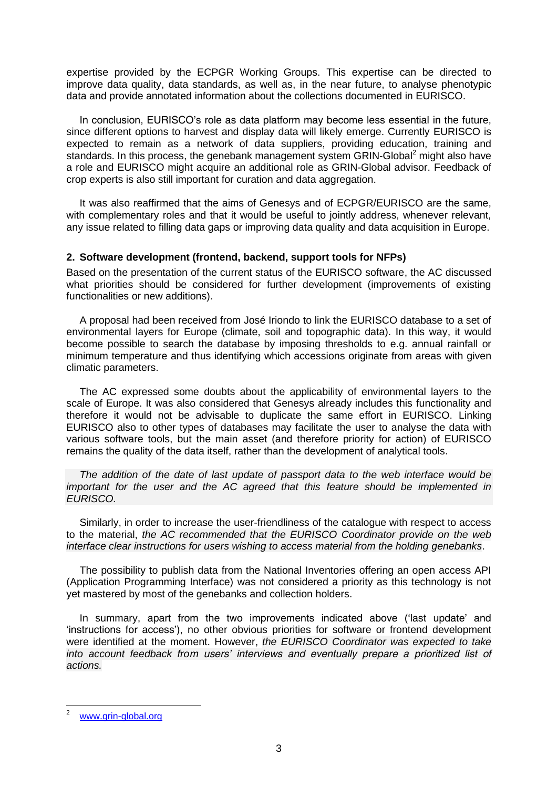expertise provided by the ECPGR Working Groups. This expertise can be directed to improve data quality, data standards, as well as, in the near future, to analyse phenotypic data and provide annotated information about the collections documented in EURISCO.

In conclusion, EURISCO's role as data platform may become less essential in the future, since different options to harvest and display data will likely emerge. Currently EURISCO is expected to remain as a network of data suppliers, providing education, training and standards. In this process, the genebank management system GRIN-Global<sup>2</sup> might also have a role and EURISCO might acquire an additional role as GRIN-Global advisor. Feedback of crop experts is also still important for curation and data aggregation.

It was also reaffirmed that the aims of Genesys and of ECPGR/EURISCO are the same, with complementary roles and that it would be useful to jointly address, whenever relevant, any issue related to filling data gaps or improving data quality and data acquisition in Europe.

## **2. Software development (frontend, backend, support tools for NFPs)**

Based on the presentation of the current status of the EURISCO software, the AC discussed what priorities should be considered for further development (improvements of existing functionalities or new additions).

A proposal had been received from José Iriondo to link the EURISCO database to a set of environmental layers for Europe (climate, soil and topographic data). In this way, it would become possible to search the database by imposing thresholds to e.g. annual rainfall or minimum temperature and thus identifying which accessions originate from areas with given climatic parameters.

The AC expressed some doubts about the applicability of environmental layers to the scale of Europe. It was also considered that Genesys already includes this functionality and therefore it would not be advisable to duplicate the same effort in EURISCO. Linking EURISCO also to other types of databases may facilitate the user to analyse the data with various software tools, but the main asset (and therefore priority for action) of EURISCO remains the quality of the data itself, rather than the development of analytical tools.

*The addition of the date of last update of passport data to the web interface would be important for the user and the AC agreed that this feature should be implemented in EURISCO.*

Similarly, in order to increase the user-friendliness of the catalogue with respect to access to the material, *the AC recommended that the EURISCO Coordinator provide on the web interface clear instructions for users wishing to access material from the holding genebanks*.

The possibility to publish data from the National Inventories offering an open access API (Application Programming Interface) was not considered a priority as this technology is not yet mastered by most of the genebanks and collection holders.

In summary, apart from the two improvements indicated above ('last update' and 'instructions for access'), no other obvious priorities for software or frontend development were identified at the moment. However, *the EURISCO Coordinator was expected to take into account feedback from users' interviews and eventually prepare a prioritized list of actions.*

[www.grin-global.org](http://www.grin-global.org/)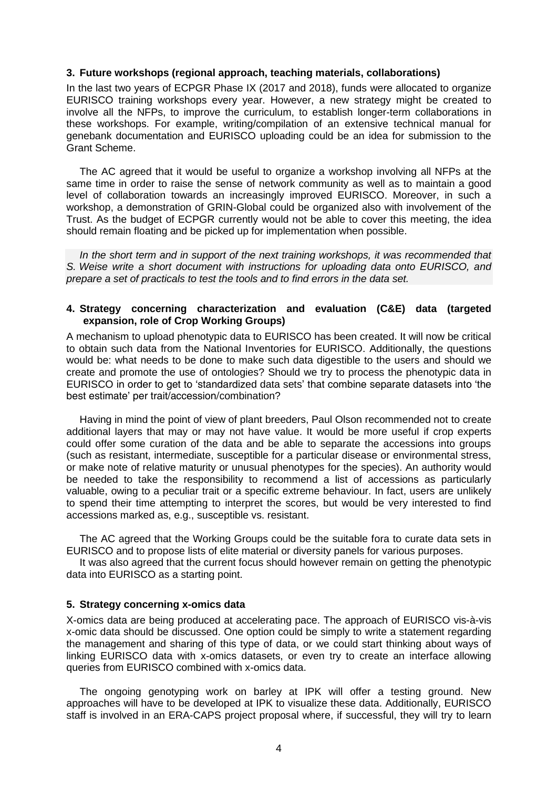#### **3. Future workshops (regional approach, teaching materials, collaborations)**

In the last two years of ECPGR Phase IX (2017 and 2018), funds were allocated to organize EURISCO training workshops every year. However, a new strategy might be created to involve all the NFPs, to improve the curriculum, to establish longer-term collaborations in these workshops. For example, writing/compilation of an extensive technical manual for genebank documentation and EURISCO uploading could be an idea for submission to the Grant Scheme.

The AC agreed that it would be useful to organize a workshop involving all NFPs at the same time in order to raise the sense of network community as well as to maintain a good level of collaboration towards an increasingly improved EURISCO. Moreover, in such a workshop, a demonstration of GRIN-Global could be organized also with involvement of the Trust. As the budget of ECPGR currently would not be able to cover this meeting, the idea should remain floating and be picked up for implementation when possible.

*In the short term and in support of the next training workshops, it was recommended that S. Weise write a short document with instructions for uploading data onto EURISCO, and prepare a set of practicals to test the tools and to find errors in the data set.*

## **4. Strategy concerning characterization and evaluation (C&E) data (targeted expansion, role of Crop Working Groups)**

A mechanism to upload phenotypic data to EURISCO has been created. It will now be critical to obtain such data from the National Inventories for EURISCO. Additionally, the questions would be: what needs to be done to make such data digestible to the users and should we create and promote the use of ontologies? Should we try to process the phenotypic data in EURISCO in order to get to 'standardized data sets' that combine separate datasets into 'the best estimate' per trait/accession/combination?

Having in mind the point of view of plant breeders, Paul Olson recommended not to create additional layers that may or may not have value. It would be more useful if crop experts could offer some curation of the data and be able to separate the accessions into groups (such as resistant, intermediate, susceptible for a particular disease or environmental stress, or make note of relative maturity or unusual phenotypes for the species). An authority would be needed to take the responsibility to recommend a list of accessions as particularly valuable, owing to a peculiar trait or a specific extreme behaviour. In fact, users are unlikely to spend their time attempting to interpret the scores, but would be very interested to find accessions marked as, e.g., susceptible vs. resistant.

The AC agreed that the Working Groups could be the suitable fora to curate data sets in EURISCO and to propose lists of elite material or diversity panels for various purposes.

It was also agreed that the current focus should however remain on getting the phenotypic data into EURISCO as a starting point.

## **5. Strategy concerning x-omics data**

X-omics data are being produced at accelerating pace. The approach of EURISCO vis-à-vis x-omic data should be discussed. One option could be simply to write a statement regarding the management and sharing of this type of data, or we could start thinking about ways of linking EURISCO data with x-omics datasets, or even try to create an interface allowing queries from EURISCO combined with x-omics data.

The ongoing genotyping work on barley at IPK will offer a testing ground. New approaches will have to be developed at IPK to visualize these data. Additionally, EURISCO staff is involved in an ERA-CAPS project proposal where, if successful, they will try to learn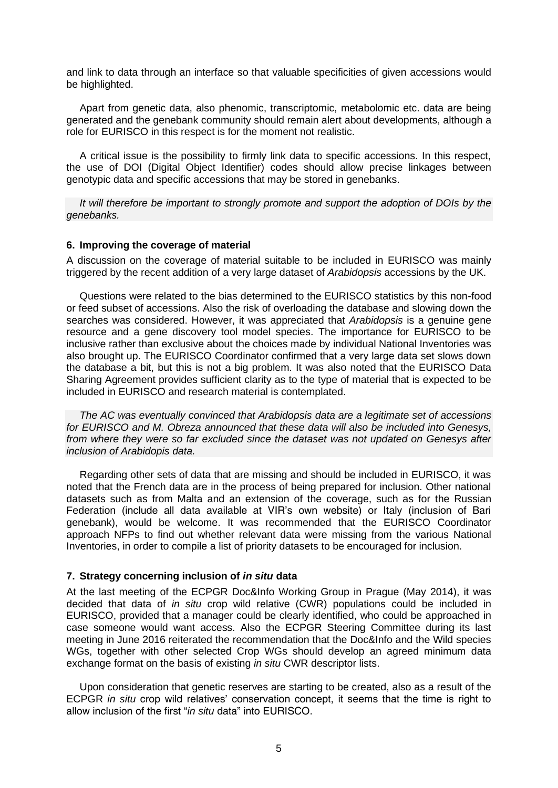and link to data through an interface so that valuable specificities of given accessions would be highlighted.

Apart from genetic data, also phenomic, transcriptomic, metabolomic etc. data are being generated and the genebank community should remain alert about developments, although a role for EURISCO in this respect is for the moment not realistic.

A critical issue is the possibility to firmly link data to specific accessions. In this respect, the use of DOI (Digital Object Identifier) codes should allow precise linkages between genotypic data and specific accessions that may be stored in genebanks.

*It will therefore be important to strongly promote and support the adoption of DOIs by the genebanks.*

#### **6. Improving the coverage of material**

A discussion on the coverage of material suitable to be included in EURISCO was mainly triggered by the recent addition of a very large dataset of *Arabidopsis* accessions by the UK.

Questions were related to the bias determined to the EURISCO statistics by this non-food or feed subset of accessions. Also the risk of overloading the database and slowing down the searches was considered. However, it was appreciated that *Arabidopsis* is a genuine gene resource and a gene discovery tool model species. The importance for EURISCO to be inclusive rather than exclusive about the choices made by individual National Inventories was also brought up. The EURISCO Coordinator confirmed that a very large data set slows down the database a bit, but this is not a big problem. It was also noted that the EURISCO Data Sharing Agreement provides sufficient clarity as to the type of material that is expected to be included in EURISCO and research material is contemplated.

*The AC was eventually convinced that Arabidopsis data are a legitimate set of accessions for EURISCO and M. Obreza announced that these data will also be included into Genesys, from where they were so far excluded since the dataset was not updated on Genesys after inclusion of Arabidopis data.*

Regarding other sets of data that are missing and should be included in EURISCO, it was noted that the French data are in the process of being prepared for inclusion. Other national datasets such as from Malta and an extension of the coverage, such as for the Russian Federation (include all data available at VIR's own website) or Italy (inclusion of Bari genebank), would be welcome. It was recommended that the EURISCO Coordinator approach NFPs to find out whether relevant data were missing from the various National Inventories, in order to compile a list of priority datasets to be encouraged for inclusion.

## **7. Strategy concerning inclusion of** *in situ* **data**

At the last meeting of the ECPGR Doc&Info Working Group in Prague (May 2014), it was decided that data of *in situ* crop wild relative (CWR) populations could be included in EURISCO, provided that a manager could be clearly identified, who could be approached in case someone would want access. Also the ECPGR Steering Committee during its last meeting in June 2016 reiterated the recommendation that the Doc&Info and the Wild species WGs, together with other selected Crop WGs should develop an agreed minimum data exchange format on the basis of existing *in situ* CWR descriptor lists.

Upon consideration that genetic reserves are starting to be created, also as a result of the ECPGR *in situ* crop wild relatives' conservation concept, it seems that the time is right to allow inclusion of the first "*in situ* data" into EURISCO.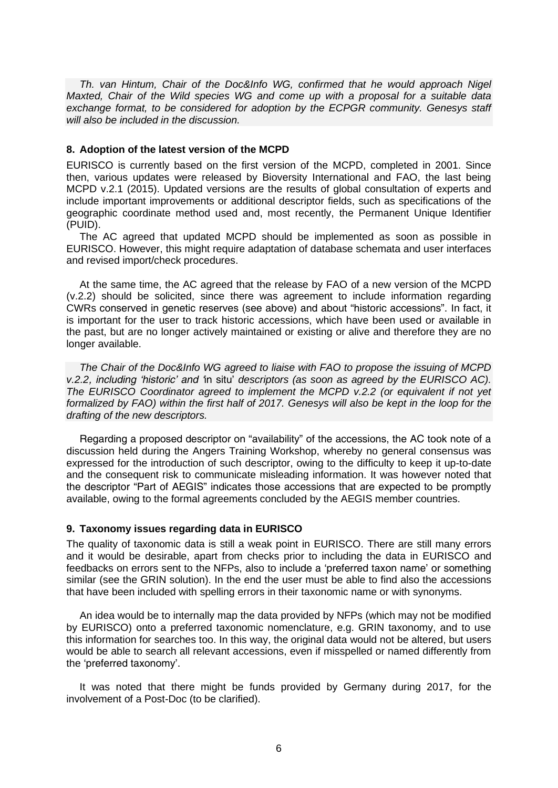*Th. van Hintum, Chair of the Doc&Info WG, confirmed that he would approach Nigel Maxted, Chair of the Wild species WG and come up with a proposal for a suitable data exchange format, to be considered for adoption by the ECPGR community. Genesys staff will also be included in the discussion.*

## **8. Adoption of the latest version of the MCPD**

EURISCO is currently based on the first version of the MCPD, completed in 2001. Since then, various updates were released by Bioversity International and FAO, the last being MCPD v.2.1 (2015). Updated versions are the results of global consultation of experts and include important improvements or additional descriptor fields, such as specifications of the geographic coordinate method used and, most recently, the Permanent Unique Identifier (PUID).

The AC agreed that updated MCPD should be implemented as soon as possible in EURISCO. However, this might require adaptation of database schemata and user interfaces and revised import/check procedures.

At the same time, the AC agreed that the release by FAO of a new version of the MCPD (v.2.2) should be solicited, since there was agreement to include information regarding CWRs conserved in genetic reserves (see above) and about "historic accessions". In fact, it is important for the user to track historic accessions, which have been used or available in the past, but are no longer actively maintained or existing or alive and therefore they are no longer available.

*The Chair of the Doc&Info WG agreed to liaise with FAO to propose the issuing of MCPD v.2.2, including 'historic' and '*in situ' *descriptors (as soon as agreed by the EURISCO AC). The EURISCO Coordinator agreed to implement the MCPD v.2.2 (or equivalent if not yet formalized by FAO) within the first half of 2017. Genesys will also be kept in the loop for the drafting of the new descriptors.*

Regarding a proposed descriptor on "availability" of the accessions, the AC took note of a discussion held during the Angers Training Workshop, whereby no general consensus was expressed for the introduction of such descriptor, owing to the difficulty to keep it up-to-date and the consequent risk to communicate misleading information. It was however noted that the descriptor "Part of AEGIS" indicates those accessions that are expected to be promptly available, owing to the formal agreements concluded by the AEGIS member countries.

#### **9. Taxonomy issues regarding data in EURISCO**

The quality of taxonomic data is still a weak point in EURISCO. There are still many errors and it would be desirable, apart from checks prior to including the data in EURISCO and feedbacks on errors sent to the NFPs, also to include a 'preferred taxon name' or something similar (see the GRIN solution). In the end the user must be able to find also the accessions that have been included with spelling errors in their taxonomic name or with synonyms.

An idea would be to internally map the data provided by NFPs (which may not be modified by EURISCO) onto a preferred taxonomic nomenclature, e.g. GRIN taxonomy, and to use this information for searches too. In this way, the original data would not be altered, but users would be able to search all relevant accessions, even if misspelled or named differently from the 'preferred taxonomy'.

It was noted that there might be funds provided by Germany during 2017, for the involvement of a Post-Doc (to be clarified).